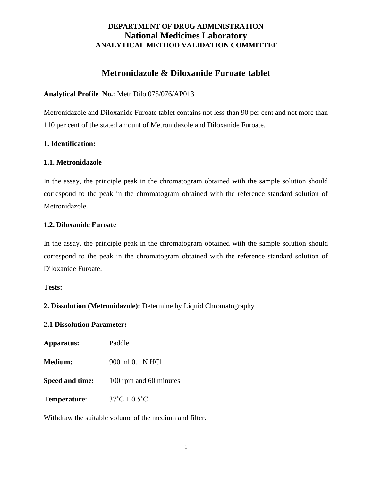# **Metronidazole & Diloxanide Furoate tablet**

### **Analytical Profile No.:** Metr Dilo 075/076/AP013

Metronidazole and Diloxanide Furoate tablet contains not less than 90 per cent and not more than 110 per cent of the stated amount of Metronidazole and Diloxanide Furoate.

### **1. Identification:**

#### **1.1. Metronidazole**

In the assay, the principle peak in the chromatogram obtained with the sample solution should correspond to the peak in the chromatogram obtained with the reference standard solution of Metronidazole.

#### **1.2. Diloxanide Furoate**

In the assay, the principle peak in the chromatogram obtained with the sample solution should correspond to the peak in the chromatogram obtained with the reference standard solution of Diloxanide Furoate.

**Tests:**

### **2. Dissolution (Metronidazole):** Determine by Liquid Chromatography

### **2.1 Dissolution Parameter:**

**Apparatus:** Paddle

**Medium:** 900 ml 0.1 N HCl

**Speed and time:** 100 rpm and 60 minutes

**Temperature:**  $37^{\circ}C \pm 0.5^{\circ}C$ 

Withdraw the suitable volume of the medium and filter.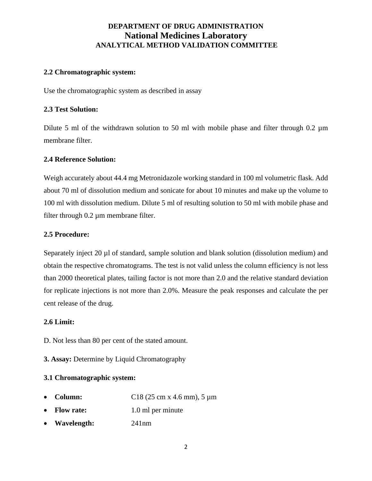#### **2.2 Chromatographic system:**

Use the chromatographic system as described in assay

#### **2.3 Test Solution:**

Dilute 5 ml of the withdrawn solution to 50 ml with mobile phase and filter through 0.2  $\mu$ m membrane filter.

#### **2.4 Reference Solution:**

Weigh accurately about 44.4 mg Metronidazole working standard in 100 ml volumetric flask. Add about 70 ml of dissolution medium and sonicate for about 10 minutes and make up the volume to 100 ml with dissolution medium. Dilute 5 ml of resulting solution to 50 ml with mobile phase and filter through 0.2 µm membrane filter.

#### **2.5 Procedure:**

Separately inject 20 µl of standard, sample solution and blank solution (dissolution medium) and obtain the respective chromatograms. The test is not valid unless the column efficiency is not less than 2000 theoretical plates, tailing factor is not more than 2.0 and the relative standard deviation for replicate injections is not more than 2.0%. Measure the peak responses and calculate the per cent release of the drug.

#### **2.6 Limit:**

D. Not less than 80 per cent of the stated amount.

**3. Assay:** Determine by Liquid Chromatography

#### **3.1 Chromatographic system:**

- **Column:** C18 (25 cm x 4.6 mm), 5 μm
- **Flow rate:** 1.0 ml per minute
- **Wavelength:** 241nm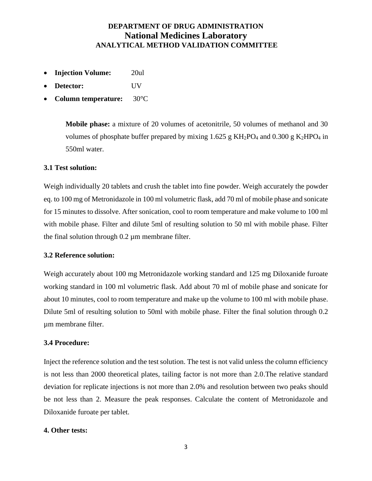- **Injection Volume:** 20ul
- **Detector:** UV
- **Column temperature:** 30°C

**Mobile phase:** a mixture of 20 volumes of acetonitrile, 50 volumes of methanol and 30 volumes of phosphate buffer prepared by mixing 1.625 g  $KH_2PO_4$  and 0.300 g  $K_2HPO_4$  in 550ml water.

#### **3.1 Test solution:**

Weigh individually 20 tablets and crush the tablet into fine powder. Weigh accurately the powder eq. to 100 mg of Metronidazole in 100 ml volumetric flask, add 70 ml of mobile phase and sonicate for 15 minutes to dissolve. After sonication, cool to room temperature and make volume to 100 ml with mobile phase. Filter and dilute 5ml of resulting solution to 50 ml with mobile phase. Filter the final solution through  $0.2 \mu$ m membrane filter.

#### **3.2 Reference solution:**

Weigh accurately about 100 mg Metronidazole working standard and 125 mg Diloxanide furoate working standard in 100 ml volumetric flask. Add about 70 ml of mobile phase and sonicate for about 10 minutes, cool to room temperature and make up the volume to 100 ml with mobile phase. Dilute 5ml of resulting solution to 50ml with mobile phase. Filter the final solution through 0.2 µm membrane filter.

#### **3.4 Procedure:**

Inject the reference solution and the test solution. The test is not valid unless the column efficiency is not less than 2000 theoretical plates, tailing factor is not more than 2.0.The relative standard deviation for replicate injections is not more than 2.0% and resolution between two peaks should be not less than 2. Measure the peak responses. Calculate the content of Metronidazole and Diloxanide furoate per tablet.

#### **4. Other tests:**